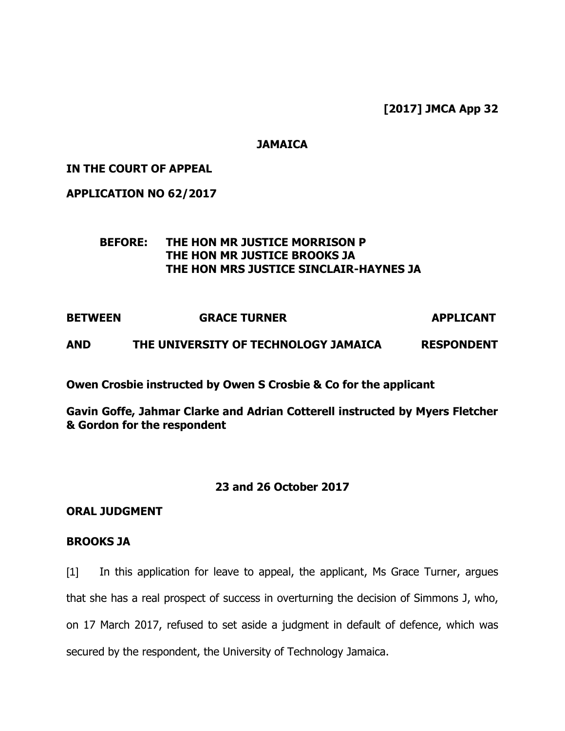**[2017] JMCA App 32**

#### **JAMAICA**

### **IN THE COURT OF APPEAL**

**APPLICATION NO 62/2017**

## **BEFORE: THE HON MR JUSTICE MORRISON P THE HON MR JUSTICE BROOKS JA THE HON MRS JUSTICE SINCLAIR-HAYNES JA**

# **BETWEEN GRACE TURNER APPLICANT AND THE UNIVERSITY OF TECHNOLOGY JAMAICA RESPONDENT**

**Owen Crosbie instructed by Owen S Crosbie & Co for the applicant**

**Gavin Goffe, Jahmar Clarke and Adrian Cotterell instructed by Myers Fletcher & Gordon for the respondent**

### **23 and 26 October 2017**

#### **ORAL JUDGMENT**

#### **BROOKS JA**

[1] In this application for leave to appeal, the applicant, Ms Grace Turner, argues that she has a real prospect of success in overturning the decision of Simmons J, who, on 17 March 2017, refused to set aside a judgment in default of defence, which was secured by the respondent, the University of Technology Jamaica.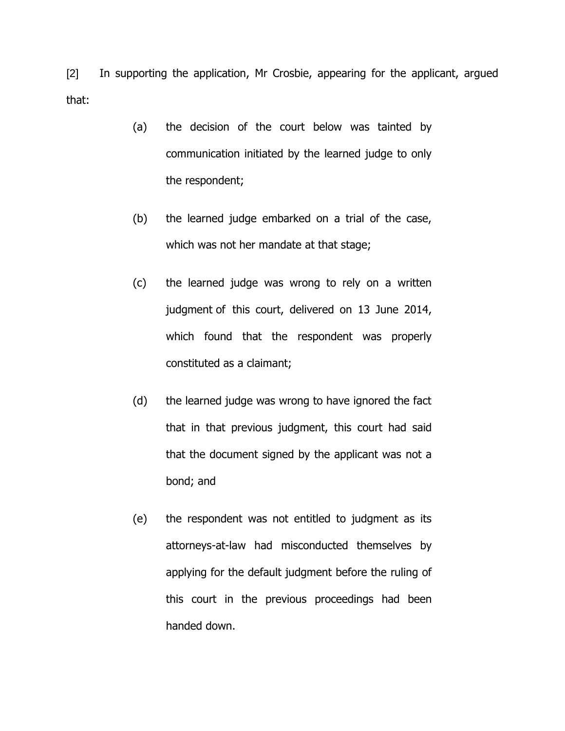[2] In supporting the application, Mr Crosbie, appearing for the applicant, argued that:

- (a) the decision of the court below was tainted by communication initiated by the learned judge to only the respondent;
- (b) the learned judge embarked on a trial of the case, which was not her mandate at that stage;
- (c) the learned judge was wrong to rely on a written judgment of this court, delivered on 13 June 2014, which found that the respondent was properly constituted as a claimant;
- (d) the learned judge was wrong to have ignored the fact that in that previous judgment, this court had said that the document signed by the applicant was not a bond; and
- (e) the respondent was not entitled to judgment as its attorneys-at-law had misconducted themselves by applying for the default judgment before the ruling of this court in the previous proceedings had been handed down.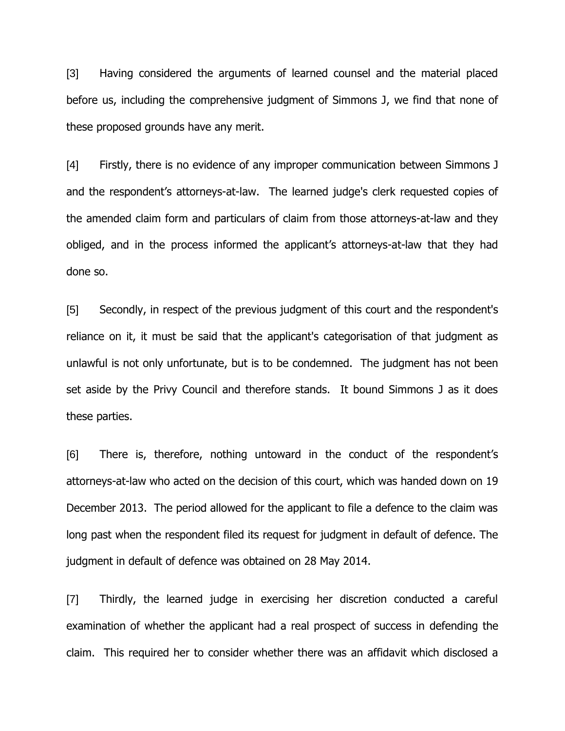[3] Having considered the arguments of learned counsel and the material placed before us, including the comprehensive judgment of Simmons J, we find that none of these proposed grounds have any merit.

[4] Firstly, there is no evidence of any improper communication between Simmons J and the respondent's attorneys-at-law. The learned judge's clerk requested copies of the amended claim form and particulars of claim from those attorneys-at-law and they obliged, and in the process informed the applicant's attorneys-at-law that they had done so.

[5] Secondly, in respect of the previous judgment of this court and the respondent's reliance on it, it must be said that the applicant's categorisation of that judgment as unlawful is not only unfortunate, but is to be condemned. The judgment has not been set aside by the Privy Council and therefore stands. It bound Simmons J as it does these parties.

[6] There is, therefore, nothing untoward in the conduct of the respondent's attorneys-at-law who acted on the decision of this court, which was handed down on 19 December 2013. The period allowed for the applicant to file a defence to the claim was long past when the respondent filed its request for judgment in default of defence. The judgment in default of defence was obtained on 28 May 2014.

[7] Thirdly, the learned judge in exercising her discretion conducted a careful examination of whether the applicant had a real prospect of success in defending the claim. This required her to consider whether there was an affidavit which disclosed a